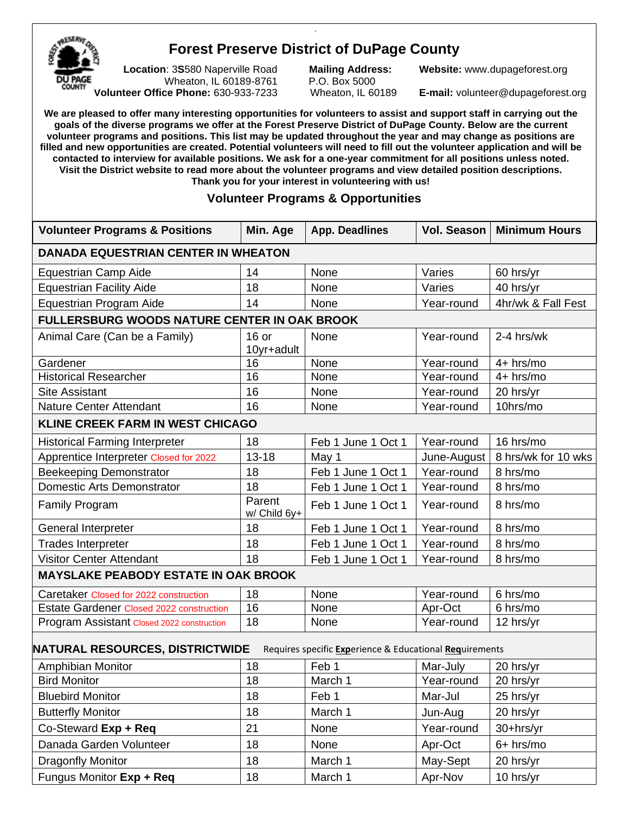

## **Forest Preserve District of DuPage County**

.

 **Location**: 3**S**580 Naperville Road **Mailing Address: Website:** [www.dupageforest.org](http://www.dupageforest.org/) Wheaton, IL 60189-8761 P.O. Box 5000  **Volunteer Office Phone:** 630-933-7233 Wheaton, IL 60189 **E-mail:** [volunteer@dupageforest.org](mailto:volunteer@dupageforest.org)

**We are pleased to offer many interesting opportunities for volunteers to assist and support staff in carrying out the goals of the diverse programs we offer at the Forest Preserve District of DuPage County. Below are the current volunteer programs and positions. This list may be updated throughout the year and may change as positions are filled and new opportunities are created. Potential volunteers will need to fill out the volunteer application and will be contacted to interview for available positions. We ask for a one-year commitment for all positions unless noted. Visit the District website to read more about the volunteer programs and view detailed position descriptions. Thank you for your interest in volunteering with us!**

## **Volunteer Programs & Opportunities**

| <b>Volunteer Programs &amp; Positions</b>                                                         | Min. Age               | <b>App. Deadlines</b> | Vol. Season | <b>Minimum Hours</b> |  |  |  |
|---------------------------------------------------------------------------------------------------|------------------------|-----------------------|-------------|----------------------|--|--|--|
| <b>DANADA EQUESTRIAN CENTER IN WHEATON</b>                                                        |                        |                       |             |                      |  |  |  |
| <b>Equestrian Camp Aide</b>                                                                       | 14                     | None                  | Varies      | 60 hrs/yr            |  |  |  |
| <b>Equestrian Facility Aide</b>                                                                   | 18                     | None                  | Varies      | 40 hrs/yr            |  |  |  |
| <b>Equestrian Program Aide</b>                                                                    | 14                     | None                  | Year-round  | 4hr/wk & Fall Fest   |  |  |  |
| <b>FULLERSBURG WOODS NATURE CENTER IN OAK BROOK</b>                                               |                        |                       |             |                      |  |  |  |
| Animal Care (Can be a Family)                                                                     | $16$ or<br>10yr+adult  | None                  | Year-round  | 2-4 hrs/wk           |  |  |  |
| Gardener                                                                                          | 16                     | None                  | Year-round  | $4+$ hrs/mo          |  |  |  |
| <b>Historical Researcher</b>                                                                      | 16                     | None                  | Year-round  | $4+$ hrs/mo          |  |  |  |
| <b>Site Assistant</b>                                                                             | 16                     | None                  | Year-round  | 20 hrs/yr            |  |  |  |
| <b>Nature Center Attendant</b>                                                                    | 16                     | None                  | Year-round  | 10hrs/mo             |  |  |  |
| <b>KLINE CREEK FARM IN WEST CHICAGO</b>                                                           |                        |                       |             |                      |  |  |  |
| <b>Historical Farming Interpreter</b>                                                             | 18                     | Feb 1 June 1 Oct 1    | Year-round  | 16 hrs/mo            |  |  |  |
| Apprentice Interpreter Closed for 2022                                                            | $13 - 18$              | May 1                 | June-August | 8 hrs/wk for 10 wks  |  |  |  |
| <b>Beekeeping Demonstrator</b>                                                                    | 18                     | Feb 1 June 1 Oct 1    | Year-round  | 8 hrs/mo             |  |  |  |
| <b>Domestic Arts Demonstrator</b>                                                                 | 18                     | Feb 1 June 1 Oct 1    | Year-round  | 8 hrs/mo             |  |  |  |
| <b>Family Program</b>                                                                             | Parent<br>w/ Child 6y+ | Feb 1 June 1 Oct 1    | Year-round  | 8 hrs/mo             |  |  |  |
| General Interpreter                                                                               | 18                     | Feb 1 June 1 Oct 1    | Year-round  | 8 hrs/mo             |  |  |  |
| <b>Trades Interpreter</b>                                                                         | 18                     | Feb 1 June 1 Oct 1    | Year-round  | 8 hrs/mo             |  |  |  |
| <b>Visitor Center Attendant</b>                                                                   | 18                     | Feb 1 June 1 Oct 1    | Year-round  | 8 hrs/mo             |  |  |  |
| <b>MAYSLAKE PEABODY ESTATE IN OAK BROOK</b>                                                       |                        |                       |             |                      |  |  |  |
| Caretaker Closed for 2022 construction                                                            | 18                     | None                  | Year-round  | 6 hrs/mo             |  |  |  |
| <b>Estate Gardener Closed 2022 construction</b>                                                   | 16                     | None                  | Apr-Oct     | 6 hrs/mo             |  |  |  |
| Program Assistant Closed 2022 construction                                                        | 18                     | None                  | Year-round  | 12 hrs/yr            |  |  |  |
| <b>NATURAL RESOURCES, DISTRICTWIDE</b><br>Requires specific Experience & Educational Requirements |                        |                       |             |                      |  |  |  |
| Amphibian Monitor                                                                                 | 18                     | Feb 1                 | Mar-July    | 20 hrs/yr            |  |  |  |
| <b>Bird Monitor</b>                                                                               | 18                     | March 1               | Year-round  | 20 hrs/yr            |  |  |  |
| <b>Bluebird Monitor</b>                                                                           | 18                     | Feb 1                 | Mar-Jul     | 25 hrs/yr            |  |  |  |
| <b>Butterfly Monitor</b>                                                                          | 18                     | March 1               | Jun-Aug     | 20 hrs/yr            |  |  |  |
| Co-Steward Exp + Req                                                                              | 21                     | None                  | Year-round  | 30+hrs/yr            |  |  |  |
| Danada Garden Volunteer                                                                           | 18                     | None                  | Apr-Oct     | 6+ hrs/mo            |  |  |  |
| Dragonfly Monitor                                                                                 | 18                     | March 1               | May-Sept    | 20 hrs/yr            |  |  |  |
| Fungus Monitor Exp + Req                                                                          | 18                     | March 1               | Apr-Nov     | 10 hrs/yr            |  |  |  |